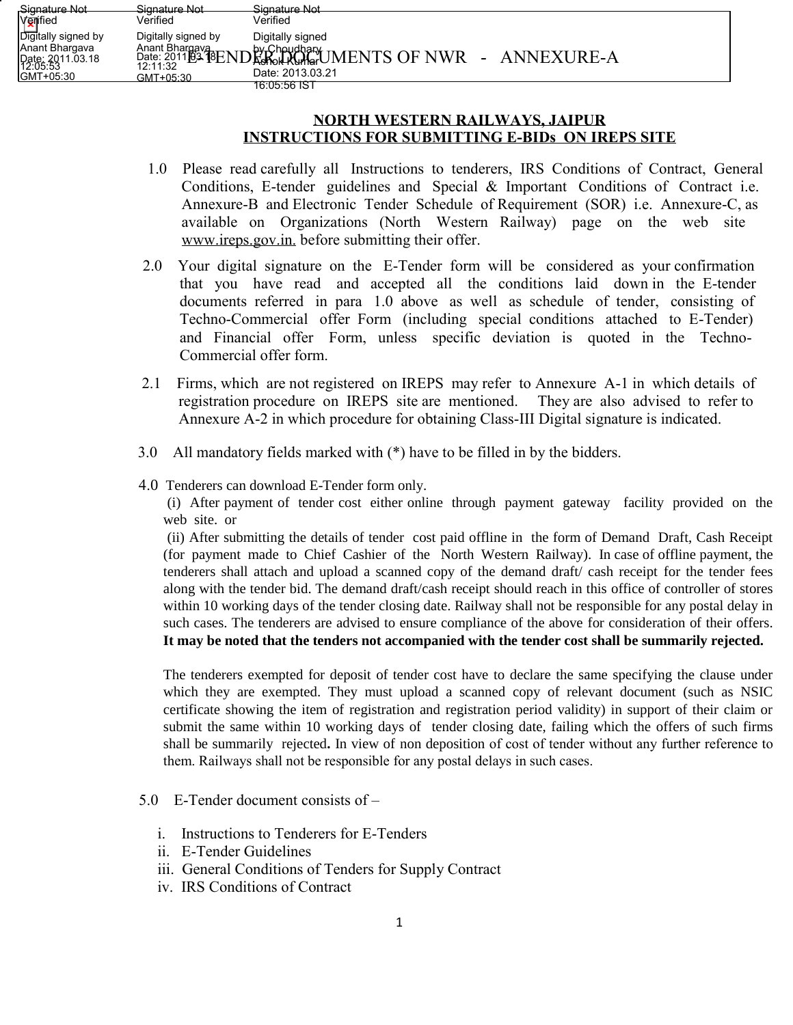| Signature Not                                                                      | <del>Signature Not</del>                     | Signature Not                                                                                                      |
|------------------------------------------------------------------------------------|----------------------------------------------|--------------------------------------------------------------------------------------------------------------------|
| Verified                                                                           | Verified                                     | Verified                                                                                                           |
| Digitally signed by<br>Anant Bhargava<br>Date: 2011.03.18<br>12:05:53<br>GMT+05:30 | Digitally signed by<br>12:11:32<br>GMT+05:30 | Digitally signed<br>Anant Bhargay<br>Date: 2011B3 (BENDRehol Rungr) UMENTS OF NWR - ANNEXURE-A<br>Date: 2013.03.21 |
|                                                                                    |                                              | 16.05.56 IST                                                                                                       |

## **NORTH WESTERN RAILWAYS, JAIPUR INSTRUCTIONS FOR SUBMITTING E-BIDs ON IREPS SITE**

- 1.0 Please read carefully all Instructions to tenderers, IRS Conditions of Contract, General Conditions, E-tender guidelines and Special & Important Conditions of Contract i.e. Annexure-B and Electronic Tender Schedule of Requirement (SOR) i.e. Annexure-C, as available on Organizations (North Western Railway) page on the web site www.ireps.gov.in. before submitting their offer.
- 2.0 Your digital signature on the E-Tender form will be considered as your confirmation that you have read and accepted all the conditions laid down in the E-tender documents referred in para 1.0 above as well as schedule of tender, consisting of Techno-Commercial offer Form (including special conditions attached to E-Tender) and Financial offer Form, unless specific deviation is quoted in the Techno-Commercial offer form.
- 2.1 Firms, which are not registered on IREPS may refer to Annexure A-1 in which details of registration procedure on IREPS site are mentioned. They are also advised to refer to Annexure A-2 in which procedure for obtaining Class-III Digital signature is indicated.
- 3.0 All mandatory fields marked with (\*) have to be filled in by the bidders.
- 4.0 Tenderers can download E-Tender form only.

(i) After payment of tender cost either online through payment gateway facility provided on the web site. or

(ii) After submitting the details of tender cost paid offline in the form of Demand Draft, Cash Receipt (for payment made to Chief Cashier of the North Western Railway). In case of offline payment, the tenderers shall attach and upload a scanned copy of the demand draft/ cash receipt for the tender fees along with the tender bid. The demand draft/cash receipt should reach in this office of controller of stores within 10 working days of the tender closing date. Railway shall not be responsible for any postal delay in such cases. The tenderers are advised to ensure compliance of the above for consideration of their offers. **It may be noted that the tenders not accompanied with the tender cost shall be summarily rejected.**

The tenderers exempted for deposit of tender cost have to declare the same specifying the clause under which they are exempted. They must upload a scanned copy of relevant document (such as NSIC certificate showing the item of registration and registration period validity) in support of their claim or submit the same within 10 working days of tender closing date, failing which the offers of such firms shall be summarily rejected**.** In view of non deposition of cost of tender without any further reference to them. Railways shall not be responsible for any postal delays in such cases.

- 5.0 E-Tender document consists of
	- i. Instructions to Tenderers for E-Tenders
	- ii. E-Tender Guidelines
	- iii. General Conditions of Tenders for Supply Contract
	- iv. IRS Conditions of Contract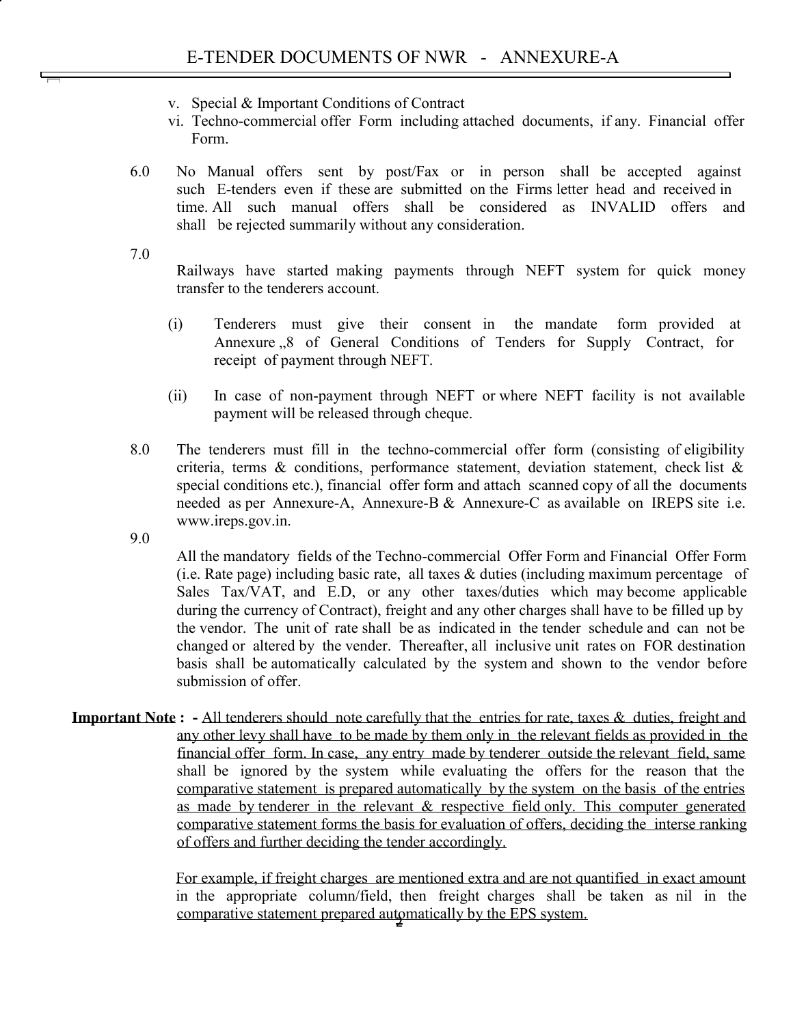- v. Special & Important Conditions of Contract
- vi. Techno-commercial offer Form including attached documents, if any. Financial offer Form.
- 6.0 No Manual offers sent by post/Fax or in person shall be accepted against such E-tenders even if these are submitted on the Firms letter head and received in time. All such manual offers shall be considered as INVALID offers and shall be rejected summarily without any consideration.

7.0

Railways have started making payments through NEFT system for quick money transfer to the tenderers account.

- (i) Tenderers must give their consent in the mandate form provided at Annexure <sub>3</sub>.8 of General Conditions of Tenders for Supply Contract, for receipt of payment through NEFT.
- (ii) In case of non-payment through NEFT or where NEFT facility is not available payment will be released through cheque.
- 8.0 The tenderers must fill in the techno-commercial offer form (consisting of eligibility criteria, terms & conditions, performance statement, deviation statement, check list & special conditions etc.), financial offer form and attach scanned copy of all the documents needed as per Annexure-A, Annexure-B & Annexure-C as available on IREPS site i.e. www.ireps.gov.in.

9.0

All the mandatory fields of the Techno-commercial Offer Form and Financial Offer Form (i.e. Rate page) including basic rate, all taxes & duties (including maximum percentage of Sales Tax/VAT, and E.D, or any other taxes/duties which may become applicable during the currency of Contract), freight and any other charges shall have to be filled up by the vendor. The unit of rate shall be as indicated in the tender schedule and can not be changed or altered by the vender. Thereafter, all inclusive unit rates on FOR destination basis shall be automatically calculated by the system and shown to the vendor before submission of offer.

**Important Note : -** All tenderers should note carefully that the entries for rate, taxes & duties, freight and any other levy shall have to be made by them only in the relevant fields as provided in the financial offer form. In case, any entry made by tenderer outside the relevant field, same shall be ignored by the system while evaluating the offers for the reason that the comparative statement is prepared automatically by the system on the basis of the entries as made by tenderer in the relevant & respective field only. This computer generated comparative statement forms the basis for evaluation of offers, deciding the interse ranking of offers and further deciding the tender accordingly.

> For example, if freight charges are mentioned extra and are not quantified in exact amount in the appropriate column/field, then freight charges shall be taken as nil in the comparative statement prepared automatically by the EPS system.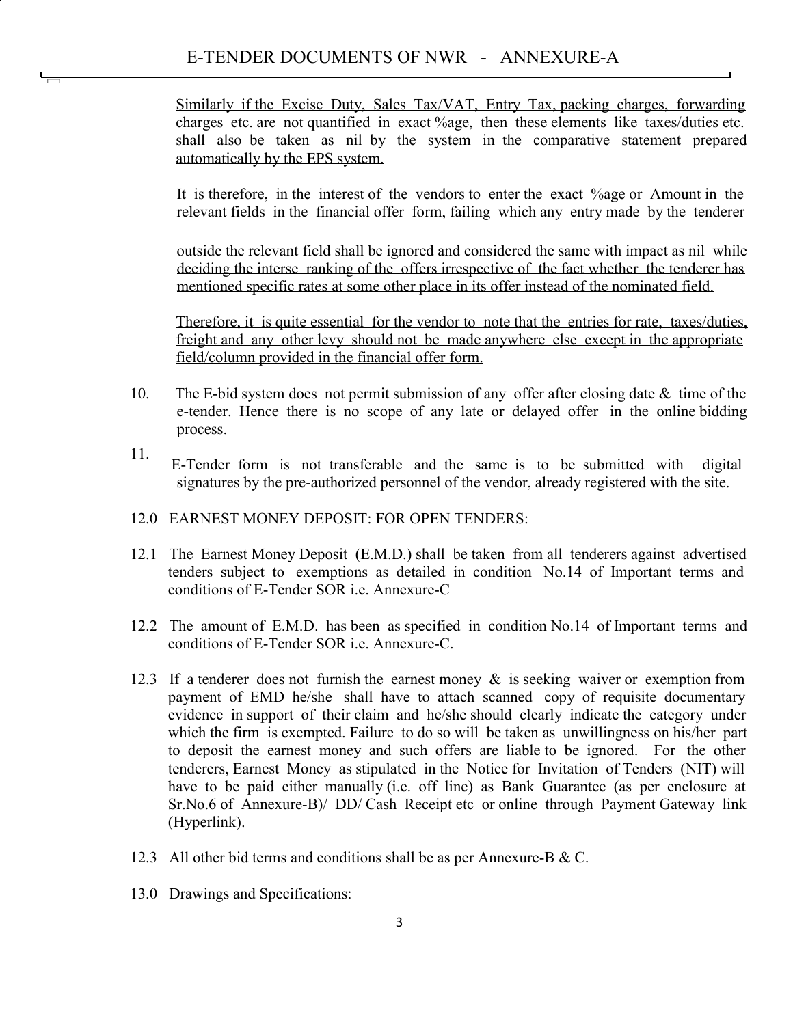Similarly if the Excise Duty, Sales Tax/VAT, Entry Tax, packing charges, forwarding charges etc. are not quantified in exact %age, then these elements like taxes/duties etc. shall also be taken as nil by the system in the comparative statement prepared automatically by the EPS system.

It is therefore, in the interest of the vendors to enter the exact %age or Amount in the relevant fields in the financial offer form, failing which any entry made by the tenderer

outside the relevant field shall be ignored and considered the same with impact as nil while deciding the interse ranking of the offers irrespective of the fact whether the tenderer has mentioned specific rates at some other place in its offer instead of the nominated field.

Therefore, it is quite essential for the vendor to note that the entries for rate, taxes/duties, freight and any other levy should not be made anywhere else except in the appropriate field/column provided in the financial offer form.

- 10. The E-bid system does not permit submission of any offer after closing date  $\&$  time of the e-tender. Hence there is no scope of any late or delayed offer in the online bidding process.
- 11. E-Tender form is not transferable and the same is to be submitted with digital signatures by the pre-authorized personnel of the vendor, already registered with the site.
- 12.0 EARNEST MONEY DEPOSIT: FOR OPEN TENDERS:
- 12.1 The Earnest Money Deposit (E.M.D.) shall be taken from all tenderers against advertised tenders subject to exemptions as detailed in condition No.14 of Important terms and conditions of E-Tender SOR i.e. Annexure-C
- 12.2 The amount of E.M.D. has been as specified in condition No.14 of Important terms and conditions of E-Tender SOR i.e. Annexure-C.
- 12.3 If a tenderer does not furnish the earnest money & is seeking waiver or exemption from payment of EMD he/she shall have to attach scanned copy of requisite documentary evidence in support of their claim and he/she should clearly indicate the category under which the firm is exempted. Failure to do so will be taken as unwillingness on his/her part to deposit the earnest money and such offers are liable to be ignored. For the other tenderers, Earnest Money as stipulated in the Notice for Invitation of Tenders (NIT) will have to be paid either manually (i.e. off line) as Bank Guarantee (as per enclosure at Sr.No.6 of Annexure-B)/ DD/ Cash Receipt etc or online through Payment Gateway link (Hyperlink).
- 12.3 All other bid terms and conditions shall be as per Annexure-B & C.
- 13.0 Drawings and Specifications: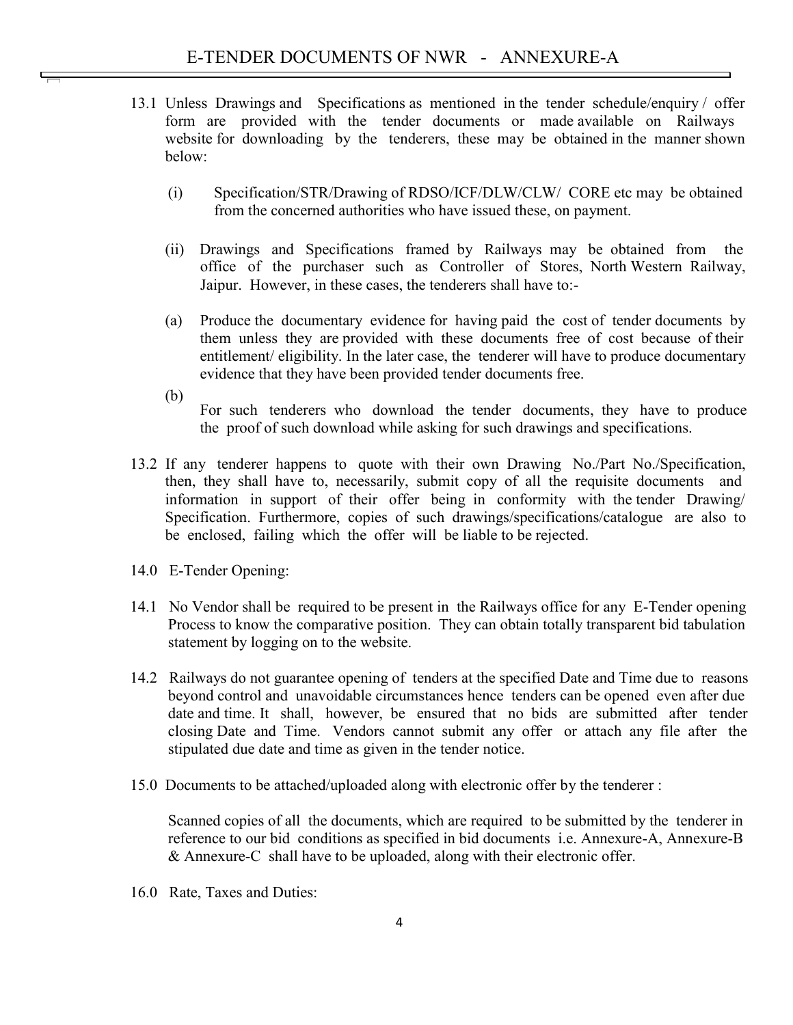- 13.1 Unless Drawings and Specifications as mentioned in the tender schedule/enquiry / offer form are provided with the tender documents or made available on Railways website for downloading by the tenderers, these may be obtained in the manner shown below:
	- (i) Specification/STR/Drawing of RDSO/ICF/DLW/CLW/ CORE etc may be obtained from the concerned authorities who have issued these, on payment.
	- (ii) Drawings and Specifications framed by Railways may be obtained from the office of the purchaser such as Controller of Stores, North Western Railway, Jaipur. However, in these cases, the tenderers shall have to:-
	- (a) Produce the documentary evidence for having paid the cost of tender documents by them unless they are provided with these documents free of cost because of their entitlement/ eligibility. In the later case, the tenderer will have to produce documentary evidence that they have been provided tender documents free.
	- (b) For such tenderers who download the tender documents, they have to produce the proof of such download while asking for such drawings and specifications.
- 13.2 If any tenderer happens to quote with their own Drawing No./Part No./Specification, then, they shall have to, necessarily, submit copy of all the requisite documents and information in support of their offer being in conformity with the tender Drawing/ Specification. Furthermore, copies of such drawings/specifications/catalogue are also to be enclosed, failing which the offer will be liable to be rejected.
- 14.0 E-Tender Opening:
- 14.1 No Vendor shall be required to be present in the Railways office for any E-Tender opening Process to know the comparative position. They can obtain totally transparent bid tabulation statement by logging on to the website.
- 14.2 Railways do not guarantee opening of tenders at the specified Date and Time due to reasons beyond control and unavoidable circumstances hence tenders can be opened even after due date and time. It shall, however, be ensured that no bids are submitted after tender closing Date and Time. Vendors cannot submit any offer or attach any file after the stipulated due date and time as given in the tender notice.
- 15.0 Documents to be attached/uploaded along with electronic offer by the tenderer :

Scanned copies of all the documents, which are required to be submitted by the tenderer in reference to our bid conditions as specified in bid documents i.e. Annexure-A, Annexure-B & Annexure-C shall have to be uploaded, along with their electronic offer.

16.0 Rate, Taxes and Duties: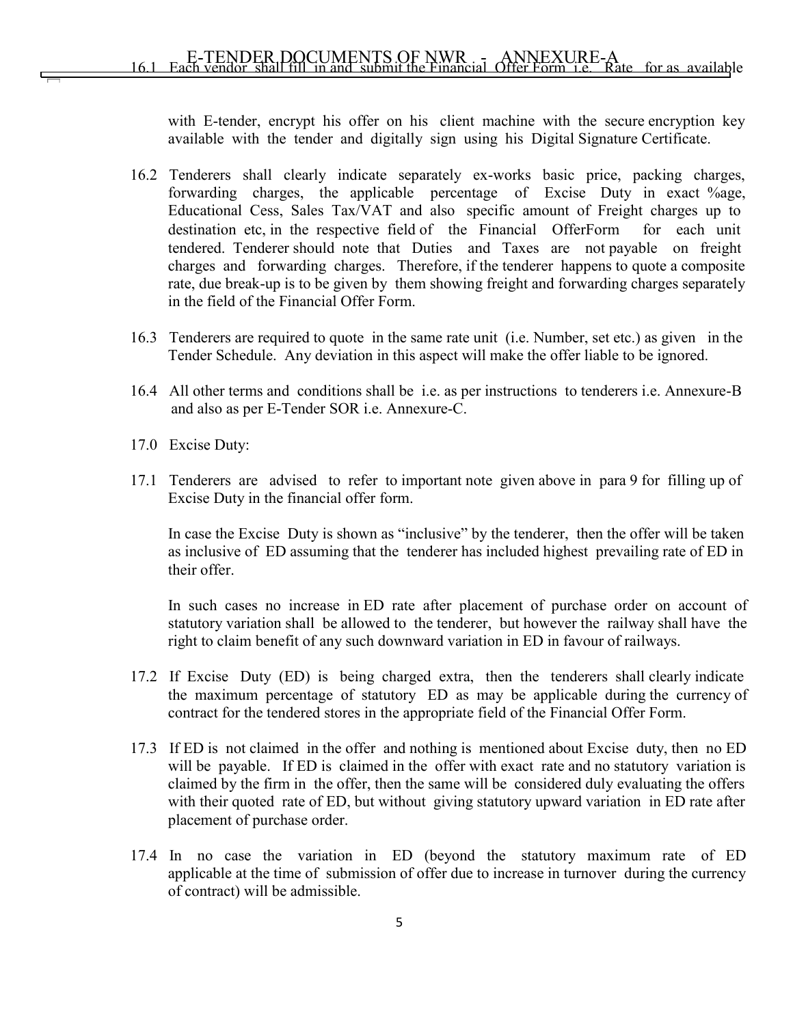with E-tender, encrypt his offer on his client machine with the secure encryption key available with the tender and digitally sign using his Digital Signature Certificate.

- 16.2 Tenderers shall clearly indicate separately ex-works basic price, packing charges, forwarding charges, the applicable percentage of Excise Duty in exact %age, Educational Cess, Sales Tax/VAT and also specific amount of Freight charges up to destination etc, in the respective field of the Financial OfferForm for each unit tendered. Tenderer should note that Duties and Taxes are not payable on freight charges and forwarding charges. Therefore, if the tenderer happens to quote a composite rate, due break-up is to be given by them showing freight and forwarding charges separately in the field of the Financial Offer Form.
- 16.3 Tenderers are required to quote in the same rate unit (i.e. Number, set etc.) as given in the Tender Schedule. Any deviation in this aspect will make the offer liable to be ignored.
- 16.4 All other terms and conditions shall be i.e. as per instructions to tenderers i.e. Annexure-B and also as per E-Tender SOR i.e. Annexure-C.
- 17.0 Excise Duty:
- 17.1 Tenderers are advised to refer to important note given above in para 9 for filling up of Excise Duty in the financial offer form.

In case the Excise Duty is shown as "inclusive" by the tenderer, then the offer will be taken as inclusive of ED assuming that the tenderer has included highest prevailing rate of ED in their offer.

In such cases no increase in ED rate after placement of purchase order on account of statutory variation shall be allowed to the tenderer, but however the railway shall have the right to claim benefit of any such downward variation in ED in favour of railways.

- 17.2 If Excise Duty (ED) is being charged extra, then the tenderers shall clearly indicate the maximum percentage of statutory ED as may be applicable during the currency of contract for the tendered stores in the appropriate field of the Financial Offer Form.
- 17.3 If ED is not claimed in the offer and nothing is mentioned about Excise duty, then no ED will be payable. If ED is claimed in the offer with exact rate and no statutory variation is claimed by the firm in the offer, then the same will be considered duly evaluating the offers with their quoted rate of ED, but without giving statutory upward variation in ED rate after placement of purchase order.
- 17.4 In no case the variation in ED (beyond the statutory maximum rate of ED applicable at the time of submission of offer due to increase in turnover during the currency of contract) will be admissible.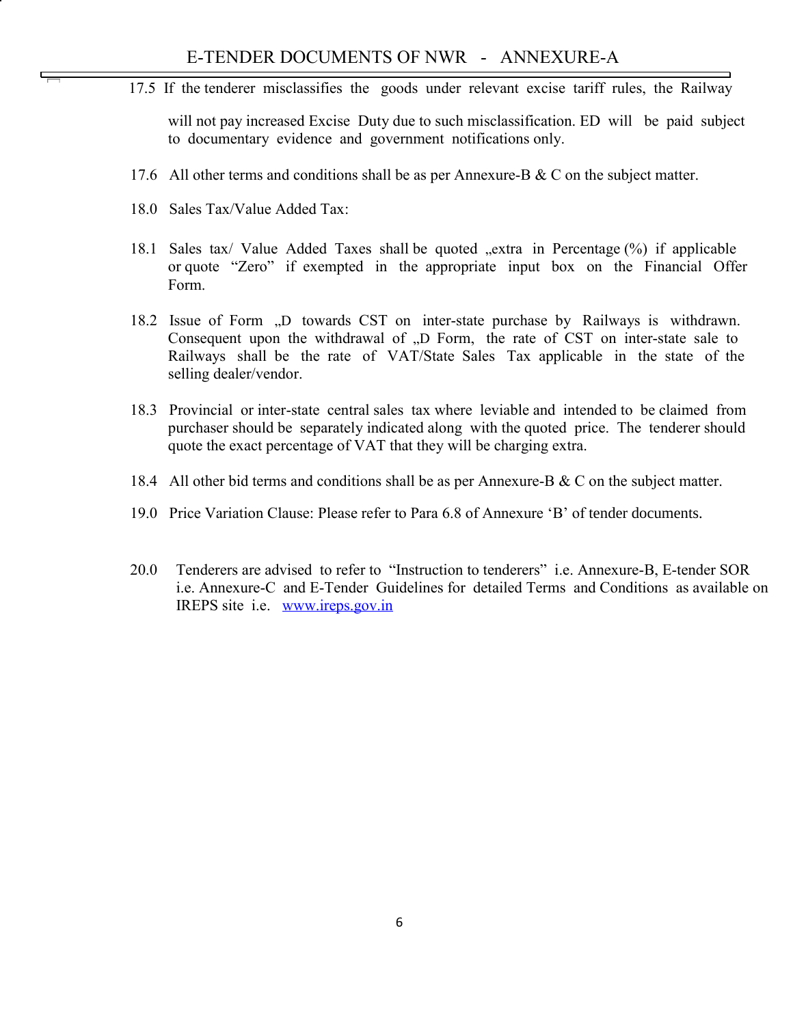17.5 If the tenderer misclassifies the goods under relevant excise tariff rules, the Railway

will not pay increased Excise Duty due to such misclassification. ED will be paid subject to documentary evidence and government notifications only.

- 17.6 All other terms and conditions shall be as per Annexure-B  $\&$  C on the subject matter.
- 18.0 Sales Tax/Value Added Tax:
- 18.1 Sales tax/ Value Added Taxes shall be quoted  $\mu$ extra in Percentage (%) if applicable or quote "Zero" if exempted in the appropriate input box on the Financial Offer Form.
- 18.2 Issue of Form "D towards CST on inter-state purchase by Railways is withdrawn. Consequent upon the withdrawal of "D Form, the rate of CST on inter-state sale to Railways shall be the rate of VAT/State Sales Tax applicable in the state of the selling dealer/vendor.
- 18.3 Provincial or inter-state central sales tax where leviable and intended to be claimed from purchaser should be separately indicated along with the quoted price. The tenderer should quote the exact percentage of VAT that they will be charging extra.
- 18.4 All other bid terms and conditions shall be as per Annexure-B  $\&$  C on the subject matter.
- 19.0 Price Variation Clause: Please refer to Para 6.8 of Annexure 'B' of tender documents.
- 20.0 Tenderers are advised to refer to "Instruction to tenderers" i.e. Annexure-B, E-tender SOR i.e. Annexure-C and E-Tender Guidelines for detailed Terms and Conditions as available on IREPS site i.e. www.ireps.gov.in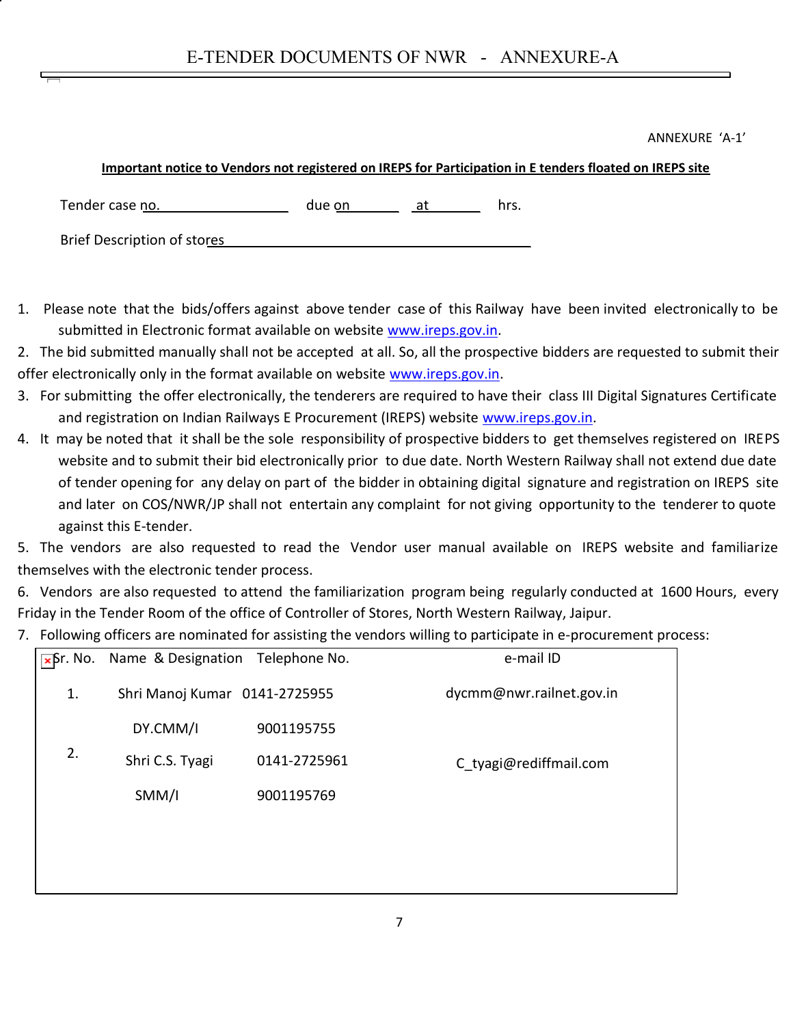ANNEXURE 'A-1'

## **Important notice to Vendors not registered on IREPS for Participation in E tenders floated on IREPS site**

Tender case no. The case of the contract of the case of the case of the contract of the case of the contract of the contract of the contract of the contract of the contract of the contract of the contract of the contract o

Brief Description of stores

- 1. Please note that the bids/offers against above tender case of this Railway have been invited electronically to be submitted in Electronic format available on website www.ireps.gov.in.
- 2. The bid submitted manually shall not be accepted at all. So, all the prospective bidders are requested to submit their offer electronically only in the format available on website www.ireps.gov.in.
- 3. For submitting the offer electronically, the tenderers are required to have their class III Digital Signatures Certificate and registration on Indian Railways E Procurement (IREPS) website www.ireps.gov.in.
- 4. It may be noted that it shall be the sole responsibility of prospective bidders to get themselves registered on IREPS website and to submit their bid electronically prior to due date. North Western Railway shall not extend due date of tender opening for any delay on part of the bidder in obtaining digital signature and registration on IREPS site and later on COS/NWR/JP shall not entertain any complaint for not giving opportunity to the tenderer to quote against this E-tender.

5. The vendors are also requested to read the Vendor user manual available on IREPS website and familiarize themselves with the electronic tender process.

6. Vendors are also requested to attend the familiarization program being regularly conducted at 1600 Hours, every Friday in the Tender Room of the office of Controller of Stores, North Western Railway, Jaipur.

7. Following officers are nominated for assisting the vendors willing to participate in e-procurement process:

| $\overline{\phantom{a}}$ Σ $\overline{\phantom{a}}$ Γ. Νο. | Name & Designation Telephone No. |              | e-mail ID                |
|------------------------------------------------------------|----------------------------------|--------------|--------------------------|
| 1.                                                         | Shri Manoj Kumar 0141-2725955    |              | dycmm@nwr.railnet.gov.in |
|                                                            | DY.CMM/I                         | 9001195755   |                          |
| 2.                                                         | Shri C.S. Tyagi                  | 0141-2725961 | C tyagi@rediffmail.com   |
|                                                            | SMM/I                            | 9001195769   |                          |
|                                                            |                                  |              |                          |
|                                                            |                                  |              |                          |
|                                                            |                                  |              |                          |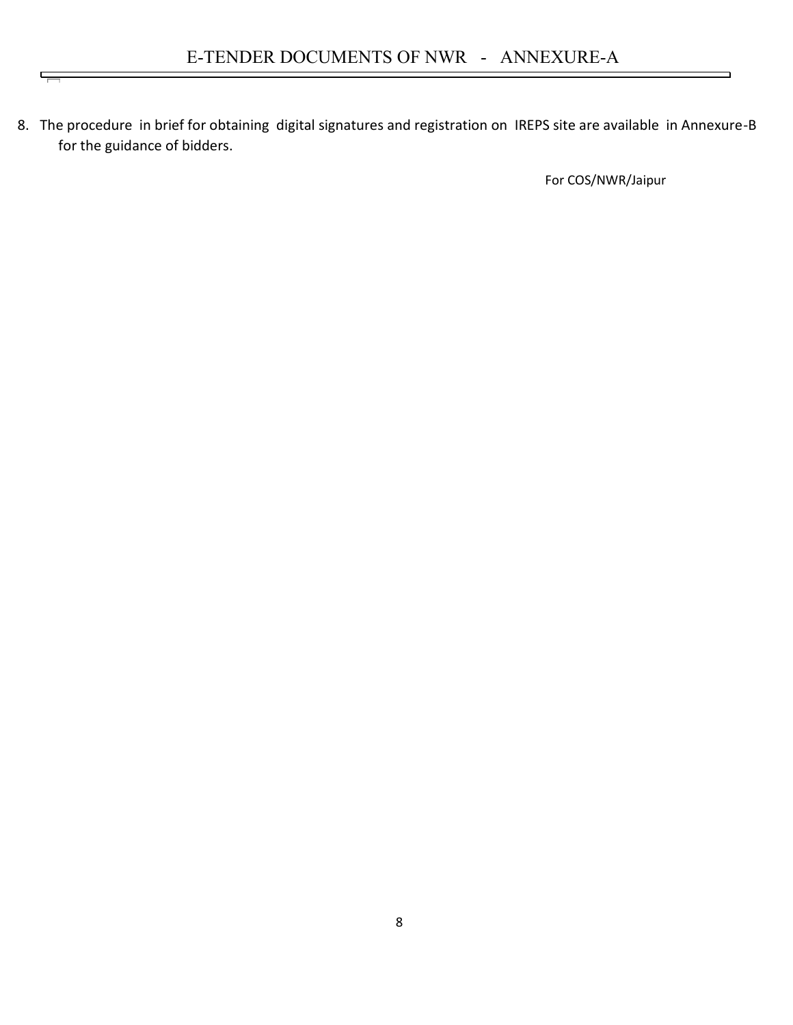8. The procedure in brief for obtaining digital signatures and registration on IREPS site are available in Annexure-B for the guidance of bidders.

 $\overline{}$ 

For COS/NWR/Jaipur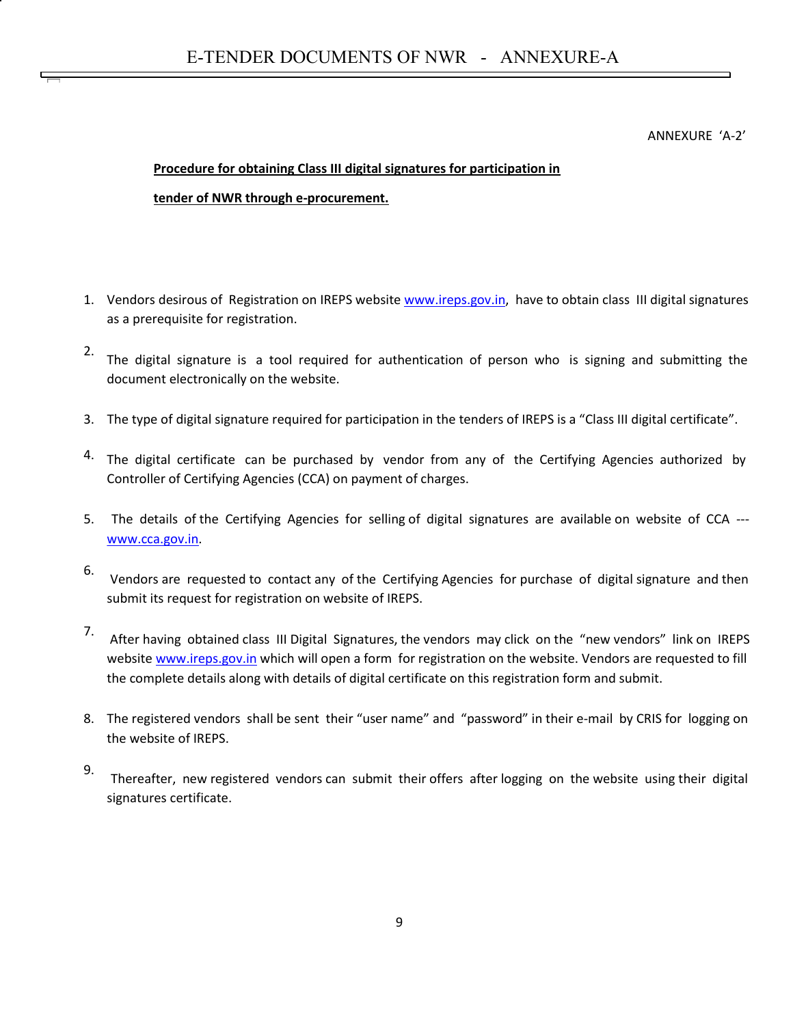ANNEXURE 'A-2'

## **Procedure for obtaining Class III digital signatures for participation in**

## **tender of NWR through e-procurement.**

- 1. Vendors desirous of Registration on IREPS website www.ireps.gov.in, have to obtain class III digital signatures as a prerequisite for registration.
- 2. The digital signature is a tool required for authentication of person who is signing and submitting the document electronically on the website.
- 3. The type of digital signature required for participation in the tenders of IREPS is a "Class III digital certificate".
- <sup>4.</sup> The digital certificate can be purchased by vendor from any of the Certifying Agencies authorized by Controller of Certifying Agencies (CCA) on payment of charges.
- 5. The details of the Certifying Agencies for selling of digital signatures are available on website of CCA -- www.cca.gov.in.
- 6. Vendors are requested to contact any of the Certifying Agencies for purchase of digital signature and then submit its request for registration on website of IREPS.
- 7. After having obtained class III Digital Signatures, the vendors may click on the "new vendors" link on IREPS website www.ireps.gov.in which will open a form for registration on the website. Vendors are requested to fill the complete details along with details of digital certificate on this registration form and submit.
- 8. The registered vendors shall be sent their "user name" and "password" in their e-mail by CRIS for logging on the website of IREPS.
- 9. Thereafter, new registered vendors can submit their offers after logging on the website using their digital signatures certificate.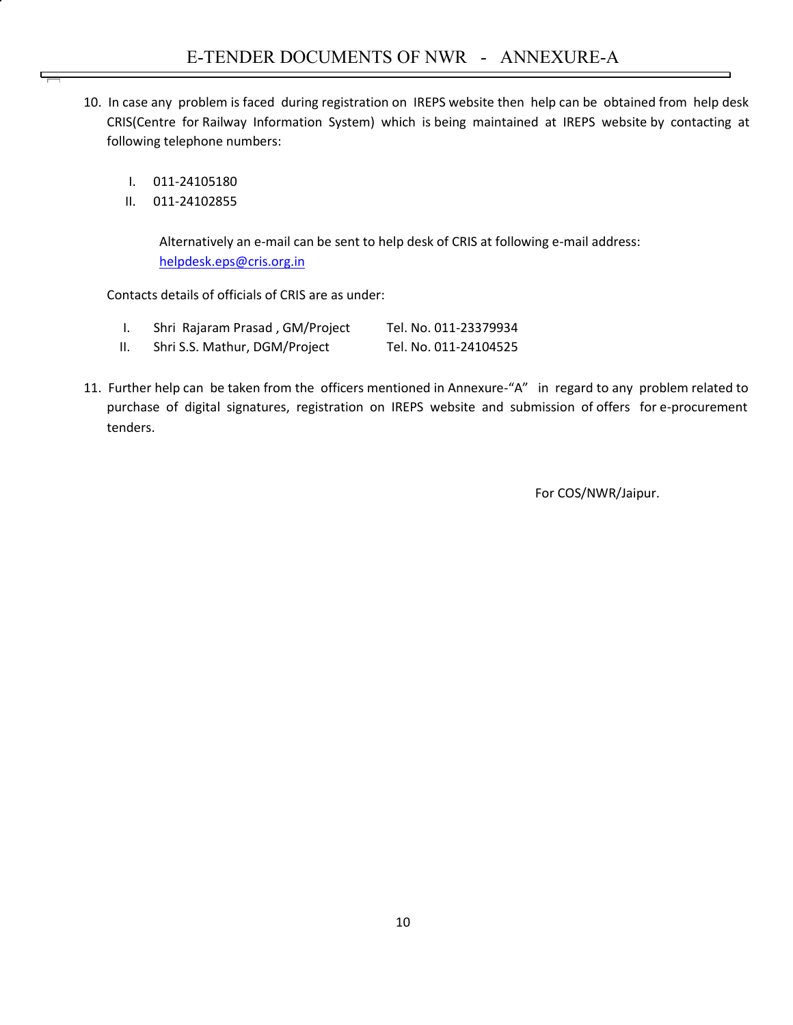- 10. In case any problem is faced during registration on IREPS website then help can be obtained from help desk CRIS(Centre for Railway Information System) which is being maintained at IREPS website by contacting at following telephone numbers:
	- I. 011-24105180
	- II. 011-24102855

Alternatively an e-mail can be sent to help desk of CRIS at following e-mail address: helpdesk.eps@cris.org.in

Contacts details of officials of CRIS are as under:

- I. Shri Rajaram Prasad , GM/Project Tel. No. 011-23379934
- II. Shri S.S. Mathur, DGM/Project Tel. No. 011-24104525
- 11. Further help can be taken from the officers mentioned in Annexure-"A" in regard to any problem related to purchase of digital signatures, registration on IREPS website and submission of offers for e-procurement tenders.

For COS/NWR/Jaipur.